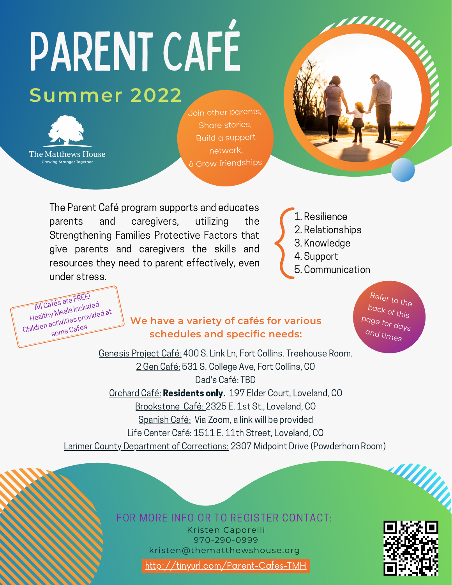## PARENT CAFÉ **Summer 2022**



All Cafés are FREE! Healthy Meals Included. Children activities provided at some Cafes

Join other parents, Share stories, Build <sup>a</sup> support network, & Grow friendships



The Parent Café program supports and educates parents and caregivers, utilizing the Strengthening Families Protective Factors that give parents and caregivers the skills and resources they need to parent effectively, even under stress.

1. Resilience 2. Relationships 3. Knowledge 4. Support 5. Communication

## **We have a variety of cafés for various schedules and specific needs:**

Refer to the back of this page for days and times

Genesis Project Café: 400 S. Link Ln, Fort Collins. Treehouse Room. 2 Gen Café: 531 S. College Ave, Fort Collins, CO Dad's Café: TBD Orchard Café: Residents only. 197 Elder Court, Loveland, CO Brookstone Café: 2325 E. 1st St., Loveland, CO Spanish Café: Via Zoom, a link will be provided Life Center Café: 1511 E. 11th Street, Loveland, CO Larimer County Department of Corrections: 2307 Midpoint Drive (Powderhorn Room)

FOR MORE INFO OR TO REGISTER CONTACT:

Kristen Caporelli 970-290-0999 kristen@thematthewshouse.org



**All Minh** 

<http://tinyurl.com/Parent-Cafes-TMH>